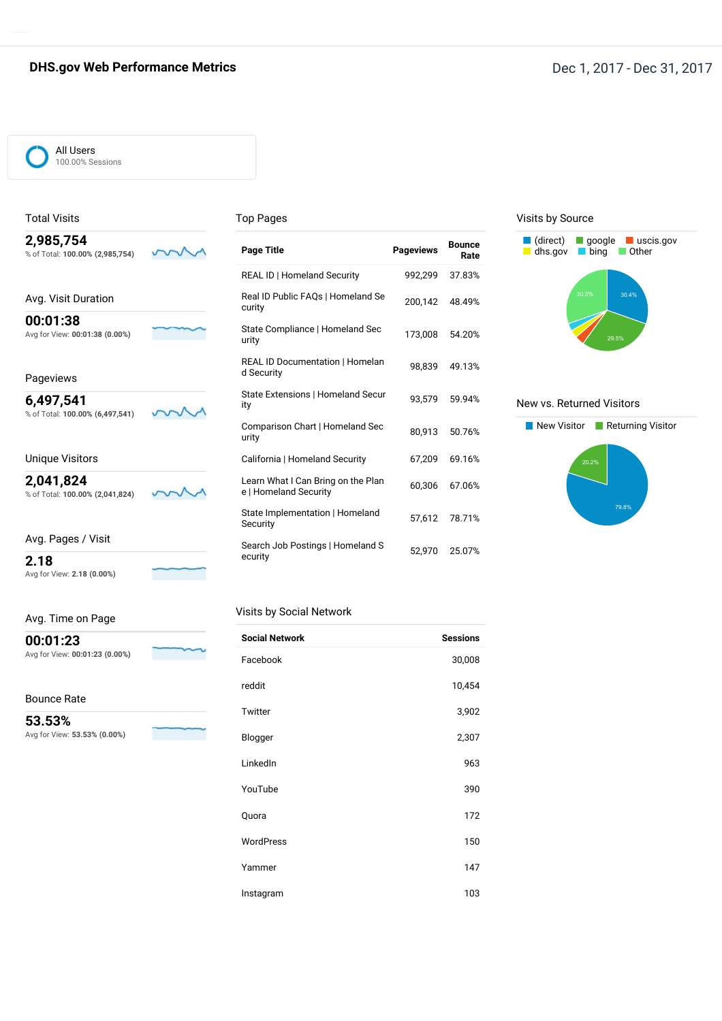## **DHS.gov Web Performance Metrics DHS.gov Web Performance Metrics Dec 1, 2017** - Dec 31, 2017

#### All Users 100.00% Sessions

Total Visits

#### Top Pages

| 2,985,754                       |
|---------------------------------|
|                                 |
| % of Total: 100.00% (2,985,754) |

Avg. Visit Duration **00:01:38** Avg for View: **00:01:38 (0.00%)**

## Pageviews

**6,497,541** % of Total: **100.00% (6,497,541)**

m

m

### Unique Visitors

**2,041,824** % of Total: **100.00% (2,041,824)**

Avg. Pages / Visit

**2.18** Avg for View: **2.18 (0.00%)**

m

| Avg. Time on Page |  |  |
|-------------------|--|--|
|                   |  |  |

**00:01:23** Avg for View: **00:01:23 (0.00%)**

## Bounce Rate

**53.53%**

Avg for View: **53.53% (0.00%)**

| <b>Page Title</b>                                           | <b>Pageviews</b> | <b>Bounce</b><br>Rate |
|-------------------------------------------------------------|------------------|-----------------------|
| REAL ID   Homeland Security                                 | 992,299          | 37.83%                |
| Real ID Public FAQs   Homeland Se<br>curity                 | 200,142          | 48.49%                |
| State Compliance   Homeland Sec<br>urity                    | 173,008          | 54.20%                |
| <b>REAL ID Documentation   Homelan</b><br>d Security        | 98.839           | 49.13%                |
| State Extensions   Homeland Secur<br>ity                    | 93,579           | 59.94%                |
| Comparison Chart   Homeland Sec<br>urity                    | 80.913           | 50.76%                |
| California   Homeland Security                              | 67.209           | 69.16%                |
| Learn What I Can Bring on the Plan<br>e   Homeland Security | 60.306           | 67.06%                |
| State Implementation   Homeland<br>Security                 | 57.612           | 78.71%                |
| Search Job Postings   Homeland S<br>ecurity                 | 52,970           | 25.07%                |

## Visits by Social Network

| <b>Social Network</b> | <b>Sessions</b> |
|-----------------------|-----------------|
| Facebook              | 30,008          |
| reddit                | 10,454          |
| Twitter               | 3,902           |
| Blogger               | 2,307           |
| LinkedIn              | 963             |
| YouTube               | 390             |
| Quora                 | 172             |
| WordPress             | 150             |
| Yammer                | 147             |
| Instagram             | 103             |

#### Visits by Source



### New vs. Returned Visitors

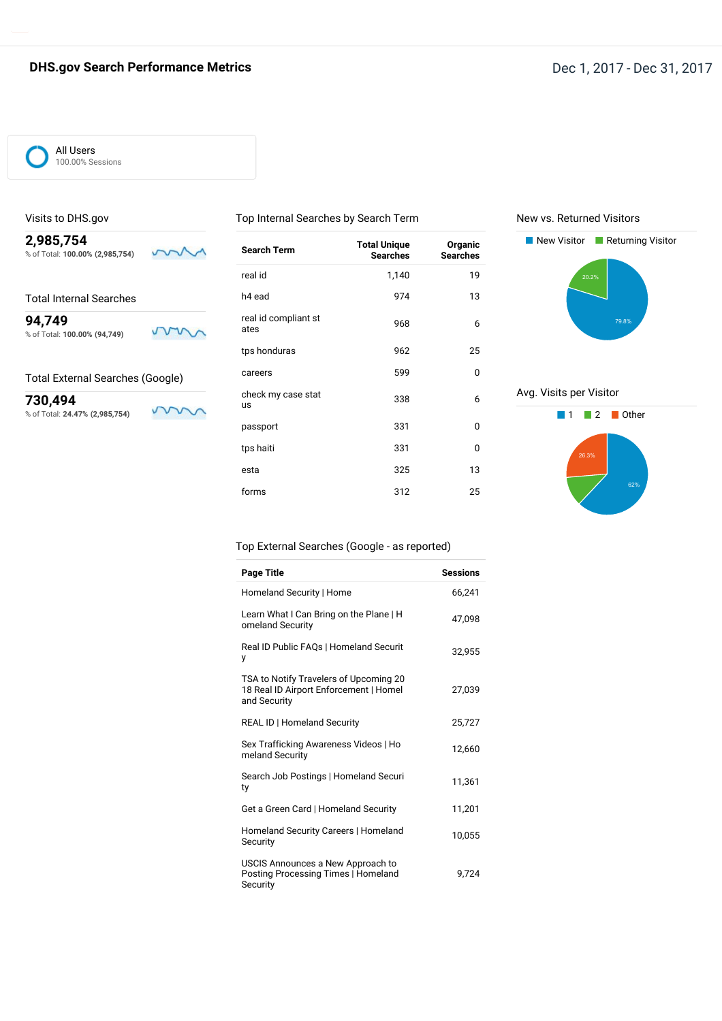## All Users 100.00% Sessions

### Visits to DHS.gov

**2,985,754** m % of Total: **100.00% (2,985,754)**

Total Internal Searches

**94,749** m % of Total: **100.00% (94,749)**

## Total External Searches (Google)

V

m

**730,494** % of Total: **24.47% (2,985,754)**

| <b>Search Term</b>              | <b>Total Unique</b><br><b>Searches</b> | Organic<br><b>Searches</b> |
|---------------------------------|----------------------------------------|----------------------------|
| real id                         | 1,140                                  | 19                         |
| h <sub>4</sub> ead              | 974                                    | 13                         |
| real id compliant st<br>ates    | 968                                    | 6                          |
| tps honduras                    | 962                                    | 25                         |
| careers                         | 599                                    | 0                          |
| check my case stat<br><b>us</b> | 338                                    | 6                          |
| passport                        | 331                                    | O                          |
| tps haiti                       | 331                                    | 0                          |
| esta                            | 325                                    | 13                         |
| forms                           | 312                                    | 25                         |

Top Internal Searches by Search Term

## New vs. Returned Visitors



## Avg. Visits per Visitor



### Top External Searches (Google - as reported)

| <b>Page Title</b>                                                                                | <b>Sessions</b> |
|--------------------------------------------------------------------------------------------------|-----------------|
| Homeland Security   Home                                                                         | 66.241          |
| Learn What I Can Bring on the Plane   H<br>omeland Security                                      | 47,098          |
| Real ID Public FAQs   Homeland Securit<br>у                                                      | 32,955          |
| TSA to Notify Travelers of Upcoming 20<br>18 Real ID Airport Enforcement   Homel<br>and Security | 27,039          |
| <b>REAL ID   Homeland Security</b>                                                               | 25,727          |
| Sex Trafficking Awareness Videos   Ho<br>meland Security                                         | 12,660          |
| Search Job Postings   Homeland Securi<br>ty                                                      | 11,361          |
| Get a Green Card   Homeland Security                                                             | 11,201          |
| Homeland Security Careers   Homeland<br>Security                                                 | 10,055          |
| USCIS Announces a New Approach to<br>Posting Processing Times   Homeland<br>Security             | 9.724           |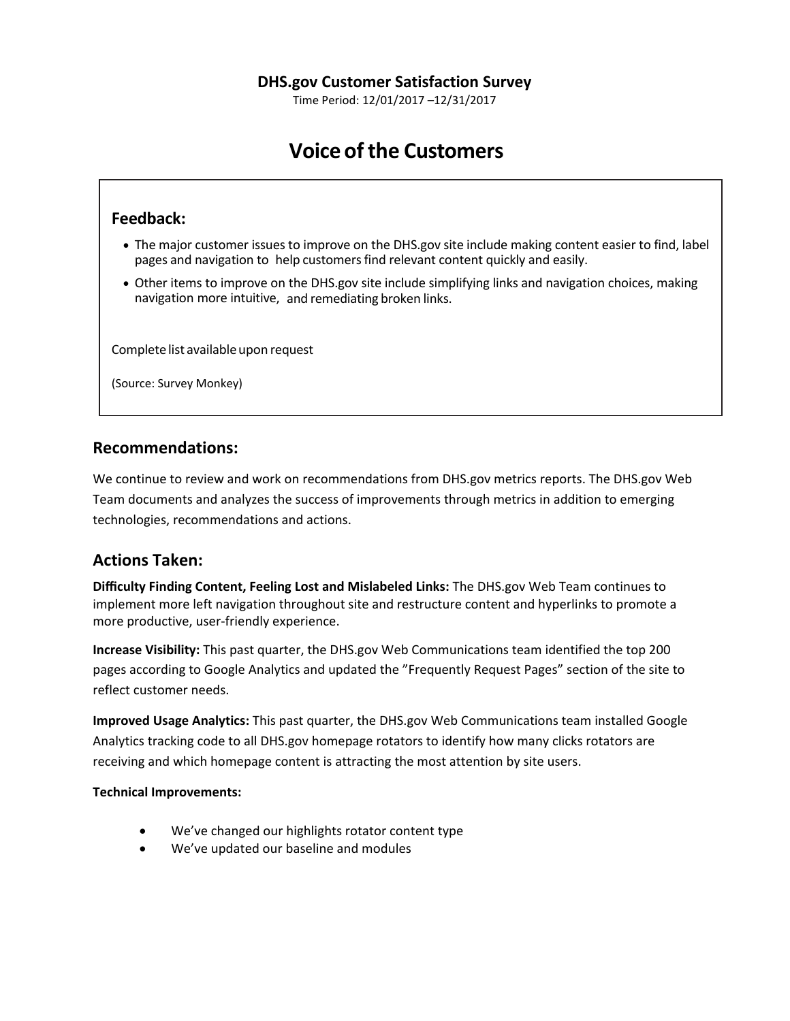Time Period: 12/01/2017 –12/31/2017

# **Voice ofthe Customers**

# **Feedback:**

- The major customer issues to improve on the DHS.gov site include making content easier to find, label pages and navigation to help customersfind relevant content quickly and easily.
- Other items to improve on the DHS.gov site include simplifying links and navigation choices, making navigation more intuitive, and remediating broken links.

Complete list available upon request

(Source: Survey Monkey)

# **Recommendations:**

We continue to review and work on recommendations from DHS.gov metrics reports. The DHS.gov Web Team documents and analyzes the success of improvements through metrics in addition to emerging technologies, recommendations and actions.

# **Actions Taken:**

**Difficulty Finding Content, Feeling Lost and Mislabeled Links:** The DHS.gov Web Team continues to implement more left navigation throughout site and restructure content and hyperlinks to promote a more productive, user-friendly experience.

**Increase Visibility:** This past quarter, the DHS.gov Web Communications team identified the top 200 pages according to Google Analytics and updated the "Frequently Request Pages" section of the site to reflect customer needs.

**Improved Usage Analytics:** This past quarter, the DHS.gov Web Communications team installed Google Analytics tracking code to all DHS.gov homepage rotators to identify how many clicks rotators are receiving and which homepage content is attracting the most attention by site users.

## **Technical Improvements:**

- We've changed our highlights rotator content type
- We've updated our baseline and modules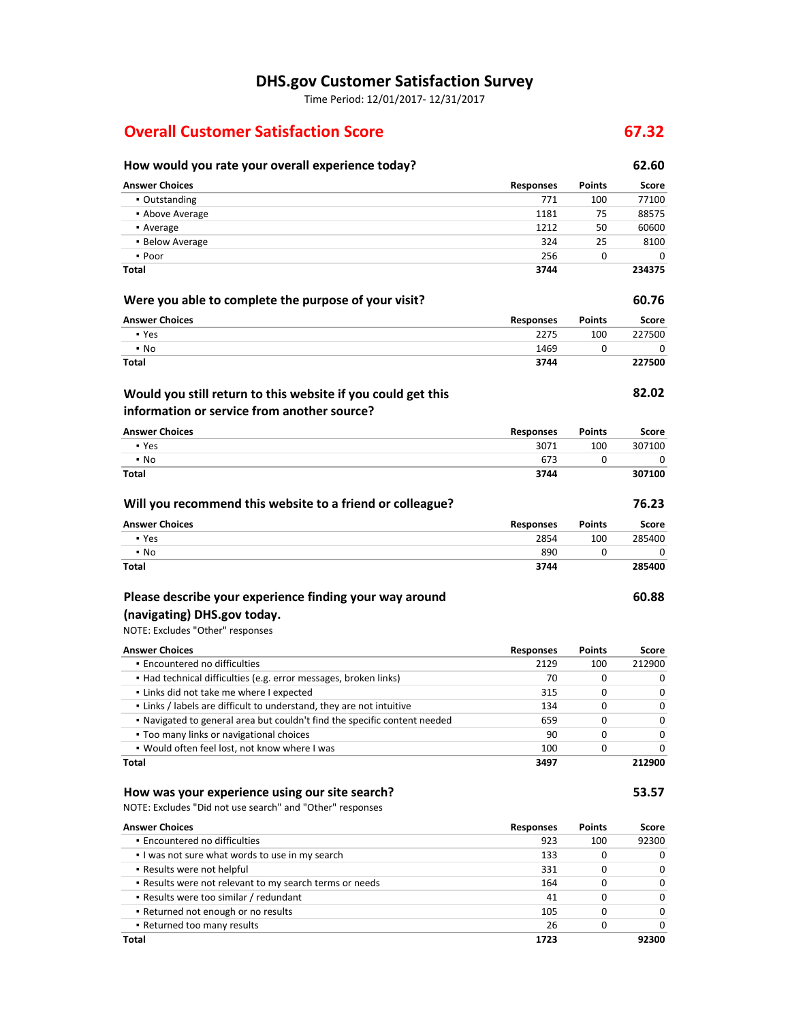# **DHS.gov Customer Satisfaction Survey**

Time Period: 12/01/2017- 12/31/2017

# **Overall Customer Satisfaction Score 67.32**

# **How would you rate your overall experience today? 62.60 Answer Choices Responses Points Score • Outstanding 771 100 77100** ■ Above Average 1181 75 88575 **•** Average 1212 50 60600 ■ Below Average 324 25 8100 ▪ Poor 256 0 0 **Total 3744 234375 Were you able to complete the purpose of your visit? EXEC 2008 60.76 Answer Choices Responses Points Score** ■ Yes 2275 2275 100 227500 ▪ No 1469 0 0 **Total 3744 227500 82.02 Answer Choices Responses Points Score • Yes 3071 100 307100**  $\bullet$  No  $\qquad \qquad 0$  0 0 0 **Total 3744 307100 Will you recommend this website to a friend or colleague? 76.23 Answer Choices Responses Points Score** ■ Yes 285400 285400 285400 285400 285400 285400 285400 285400 285400 285400 285400 ▪ No 890 0 0 **Total 3744 285400 Would you still return to this website if you could get this information or service from another source?**

# **Please describe your experience finding your way around (navigating) DHS.gov today.**

# NOTE: Excludes "Other" responses

| <b>Answer Choices</b>                                                     | <b>Responses</b> | <b>Points</b> | <b>Score</b> |
|---------------------------------------------------------------------------|------------------|---------------|--------------|
| • Encountered no difficulties                                             | 2129             | 100           | 212900       |
| • Had technical difficulties (e.g. error messages, broken links)          | 70               | 0             | $\Omega$     |
| . Links did not take me where I expected                                  | 315              | 0             | $\Omega$     |
| . Links / labels are difficult to understand, they are not intuitive      | 134              | 0             | $\Omega$     |
| . Navigated to general area but couldn't find the specific content needed | 659              | 0             | $\Omega$     |
| • Too many links or navigational choices                                  | 90               | 0             | $\Omega$     |
| . Would often feel lost, not know where I was                             | 100              | 0             | $\Omega$     |
| <b>Total</b>                                                              | 3497             |               | 212900       |

# **How was your experience using our site search? 53.57**

NOTE: Excludes "Did not use search" and "Other" responses

| <b>Answer Choices</b>                                   | <b>Responses</b> | <b>Points</b> | <b>Score</b> |
|---------------------------------------------------------|------------------|---------------|--------------|
| · Encountered no difficulties                           | 923              | 100           | 92300        |
| I was not sure what words to use in my search           | 133              | 0             | $\Omega$     |
| • Results were not helpful                              | 331              | 0             | $\Omega$     |
| . Results were not relevant to my search terms or needs | 164              | 0             | $\Omega$     |
| - Results were too similar / redundant                  | 41               | 0             | $\Omega$     |
| • Returned not enough or no results                     | 105              | 0             | $\Omega$     |
| • Returned too many results                             | 26               | 0             | 0            |
| Total                                                   | 1723             |               | 92300        |

**60.88**